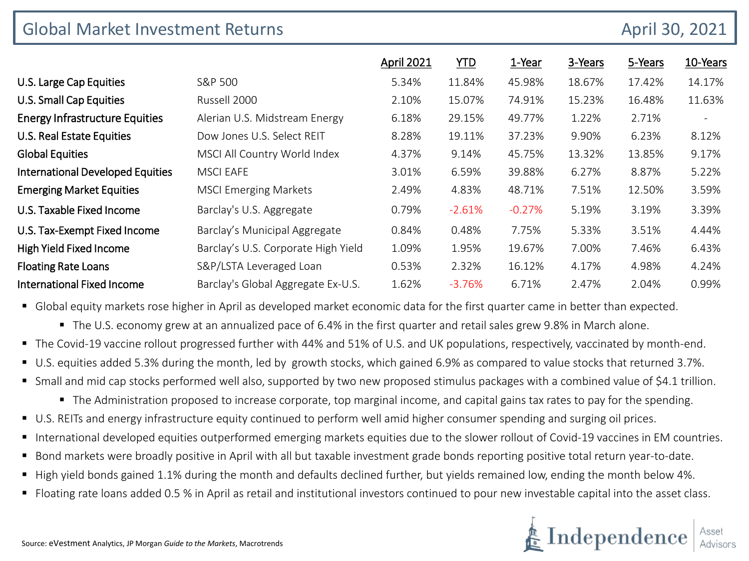| <b>Global Market Investment Returns</b> | April 30, 2021                      |                   |            |          |         |         |                          |
|-----------------------------------------|-------------------------------------|-------------------|------------|----------|---------|---------|--------------------------|
|                                         |                                     | <b>April 2021</b> | <b>YTD</b> | 1-Year   | 3-Years | 5-Years | 10-Years                 |
| U.S. Large Cap Equities                 | S&P 500                             | 5.34%             | 11.84%     | 45.98%   | 18.67%  | 17.42%  | 14.17%                   |
| <b>U.S. Small Cap Equities</b>          | Russell 2000                        | 2.10%             | 15.07%     | 74.91%   | 15.23%  | 16.48%  | 11.63%                   |
| <b>Energy Infrastructure Equities</b>   | Alerian U.S. Midstream Energy       | 6.18%             | 29.15%     | 49.77%   | 1.22%   | 2.71%   | $\overline{\phantom{a}}$ |
| U.S. Real Estate Equities               | Dow Jones U.S. Select REIT          | 8.28%             | 19.11%     | 37.23%   | 9.90%   | 6.23%   | 8.12%                    |
| <b>Global Equities</b>                  | MSCI All Country World Index        | 4.37%             | 9.14%      | 45.75%   | 13.32%  | 13.85%  | 9.17%                    |
| <b>International Developed Equities</b> | <b>MSCI EAFE</b>                    | 3.01%             | 6.59%      | 39.88%   | 6.27%   | 8.87%   | 5.22%                    |
| <b>Emerging Market Equities</b>         | <b>MSCI Emerging Markets</b>        | 2.49%             | 4.83%      | 48.71%   | 7.51%   | 12.50%  | 3.59%                    |
| U.S. Taxable Fixed Income               | Barclay's U.S. Aggregate            | 0.79%             | $-2.61%$   | $-0.27%$ | 5.19%   | 3.19%   | 3.39%                    |
| U.S. Tax-Exempt Fixed Income            | Barclay's Municipal Aggregate       | 0.84%             | 0.48%      | 7.75%    | 5.33%   | 3.51%   | 4.44%                    |
| High Yield Fixed Income                 | Barclay's U.S. Corporate High Yield | 1.09%             | 1.95%      | 19.67%   | 7.00%   | 7.46%   | 6.43%                    |
| <b>Floating Rate Loans</b>              | S&P/LSTA Leveraged Loan             | 0.53%             | 2.32%      | 16.12%   | 4.17%   | 4.98%   | 4.24%                    |
| <b>International Fixed Income</b>       | Barclay's Global Aggregate Ex-U.S.  | 1.62%             | $-3.76%$   | 6.71%    | 2.47%   | 2.04%   | 0.99%                    |

Global equity markets rose higher in April as developed market economic data for the first quarter came in better than expected.

The U.S. economy grew at an annualized pace of 6.4% in the first quarter and retail sales grew 9.8% in March alone.

- The Covid-19 vaccine rollout progressed further with 44% and 51% of U.S. and UK populations, respectively, vaccinated by month-end.
- U.S. equities added 5.3% during the month, led by growth stocks, which gained 6.9% as compared to value stocks that returned 3.7%.
- Small and mid cap stocks performed well also, supported by two new proposed stimulus packages with a combined value of \$4.1 trillion.
	- The Administration proposed to increase corporate, top marginal income, and capital gains tax rates to pay for the spending.
- U.S. REITs and energy infrastructure equity continued to perform well amid higher consumer spending and surging oil prices.
- International developed equities outperformed emerging markets equities due to the slower rollout of Covid-19 vaccines in EM countries.
- Bond markets were broadly positive in April with all but taxable investment grade bonds reporting positive total return year-to-date.
- High yield bonds gained 1.1% during the month and defaults declined further, but yields remained low, ending the month below 4%.
- Floating rate loans added 0.5 % in April as retail and institutional investors continued to pour new investable capital into the asset class.

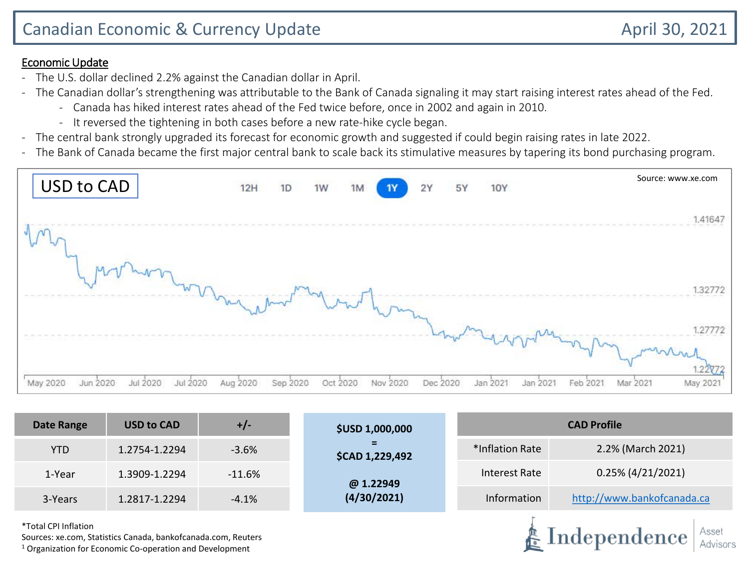### Economic Update

- The U.S. dollar declined 2.2% against the Canadian dollar in April.
- The Canadian dollar's strengthening was attributable to the Bank of Canada signaling it may start raising interest rates ahead of the Fed.
	- Canada has hiked interest rates ahead of the Fed twice before, once in 2002 and again in 2010.
	- It reversed the tightening in both cases before a new rate-hike cycle began.
- The central bank strongly upgraded its forecast for economic growth and suggested if could begin raising rates in late 2022.
- The Bank of Canada became the first major central bank to scale back its stimulative measures by tapering its bond purchasing program.



| <b>Date Range</b> | <b>USD to CAD</b> | $+/-$    | <b>\$USD 1,000,000</b>      | <b>CAD Profile</b>                   |                            |  |  |
|-------------------|-------------------|----------|-----------------------------|--------------------------------------|----------------------------|--|--|
| YTD.              | 1.2754-1.2294     | $-3.6%$  | −<br><b>\$CAD 1,229,492</b> | 2.2% (March 2021)<br>*Inflation Rate |                            |  |  |
| 1-Year            | 1.3909-1.2294     | $-11.6%$ | @ 1.22949                   | Interest Rate                        | $0.25\%$ (4/21/2021)       |  |  |
| 3-Years           | 1.2817-1.2294     | $-4.1%$  | (4/30/2021)                 | Information                          | http://www.bankofcanada.ca |  |  |
|                   |                   |          |                             |                                      |                            |  |  |

\*Total CPI Inflation

Sources: xe.com, Statistics Canada, bankofcanada.com, Reuters

 $1$  Organization for Economic Co-operation and Development

Independence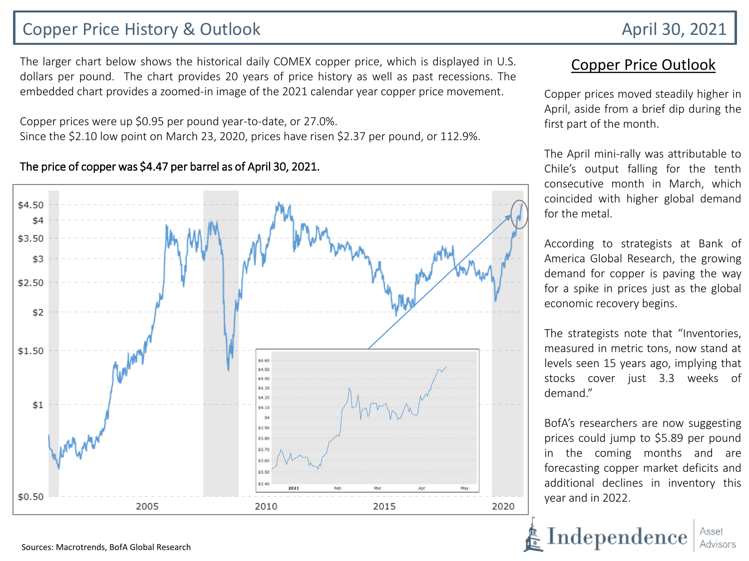## Copper Price History & Outlook April 30, 2021

The larger chart below shows the historical daily COMEX copper price, which is displayed in U.S. dollars per pound. The chart provides 20 years of price history as well as past recessions. The embedded chart provides a zoomed-in image of the 2021 calendar year copper price movement.

Copper prices were up \$0.95 per pound year-to-date, or 27.0%. Since the \$2.10 low point on March 23, 2020, prices have risen \$2.37 per pound, or 112.9%.

#### The price of copper was \$4.47 per barrel as of April 30, 2021.



### Copper Price Outlook

Copper prices moved steadily higher in April, aside from a brief dip during the first part of the month.

The April mini-rally was attributable to Chile's output falling for the tenth consecutive month in March, which coincided with higher global demand for the metal.

According to strategists at Bank of America Global Research, the growing demand for copper is paving the way for a spike in prices just as the global economic recovery begins.

The strategists note that "Inventories, measured in metric tons, now stand at levels seen 15 years ago, implying that stocks cover just 3.3 weeks of demand."

BofA's researchers are now suggesting prices could jump to \$5.89 per pound in the coming months and are forecasting copper market deficits and additional declines in inventory this year and in 2022.